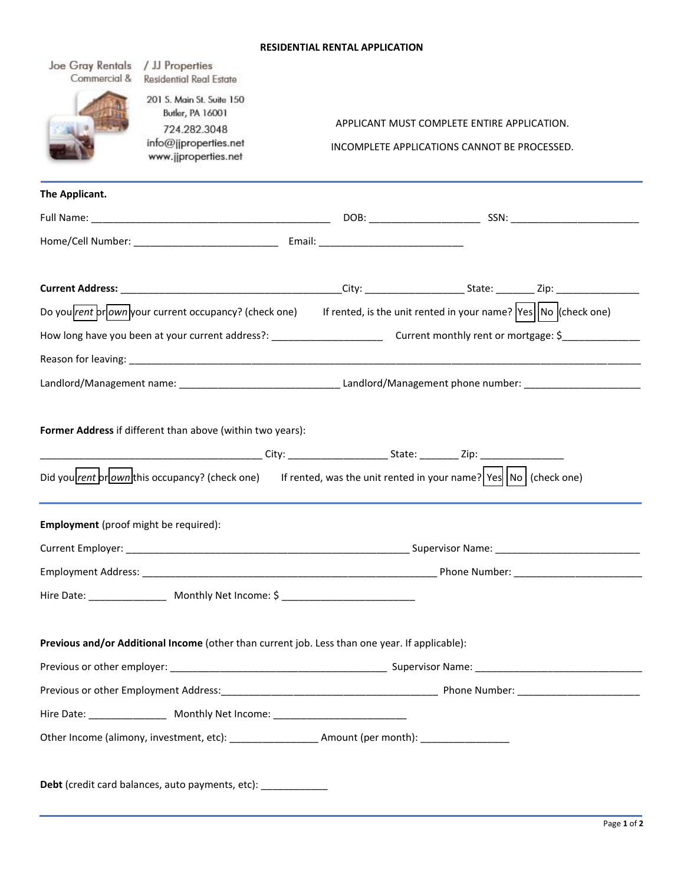## **RESIDENTIAL RENTAL APPLICATION**

| Joe Gray Rentals<br>/ JJ Properties<br>Commercial &<br><b>Residential Real Estate</b>                                  |                                                                                                                                |  |  |  |
|------------------------------------------------------------------------------------------------------------------------|--------------------------------------------------------------------------------------------------------------------------------|--|--|--|
| 201 S. Main St. Suite 150<br>Butler, PA 16001<br>724.282.3048<br>info@jjproperties.net<br>www.jjproperties.net         | APPLICANT MUST COMPLETE ENTIRE APPLICATION.<br>INCOMPLETE APPLICATIONS CANNOT BE PROCESSED.                                    |  |  |  |
| The Applicant.                                                                                                         |                                                                                                                                |  |  |  |
|                                                                                                                        |                                                                                                                                |  |  |  |
|                                                                                                                        |                                                                                                                                |  |  |  |
|                                                                                                                        |                                                                                                                                |  |  |  |
|                                                                                                                        | Do you <i>vent</i> prown your current occupancy? (check one) If rented, is the unit rented in your name?  Yes  No  (check one) |  |  |  |
| How long have you been at your current address?: ________________________________ Current monthly rent or mortgage: \$ |                                                                                                                                |  |  |  |
|                                                                                                                        |                                                                                                                                |  |  |  |
|                                                                                                                        |                                                                                                                                |  |  |  |
| Employment (proof might be required):                                                                                  | Did you <i>rent</i> or occupancy? (check one) If rented, was the unit rented in your name? Yes No (check one)                  |  |  |  |
|                                                                                                                        |                                                                                                                                |  |  |  |
|                                                                                                                        |                                                                                                                                |  |  |  |
| Hire Date: __________________ Monthly Net Income: \$ ____________________________                                      |                                                                                                                                |  |  |  |
| Previous and/or Additional Income (other than current job. Less than one year. If applicable):                         |                                                                                                                                |  |  |  |
|                                                                                                                        |                                                                                                                                |  |  |  |
|                                                                                                                        |                                                                                                                                |  |  |  |
| Hire Date: ____________________ Monthly Net Income: ____________________________                                       |                                                                                                                                |  |  |  |
|                                                                                                                        | Other Income (alimony, investment, etc): _____________________Amount (per month): _________________                            |  |  |  |
| Debt (credit card balances, auto payments, etc): _____________                                                         |                                                                                                                                |  |  |  |